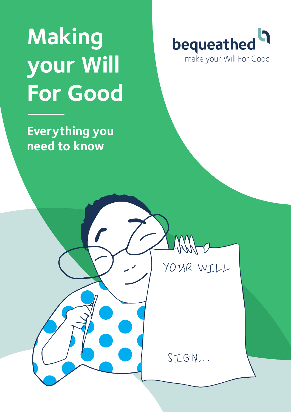# **Making your Will For Good**

**Everything you need to know**





 $STGN...$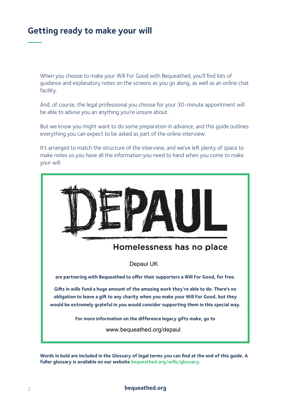## **Getting ready to make your will**

When you choose to make your Will For Good with Bequeathed, you'll find lots of guidance and explanatory notes on the screens as you go along, as well as an online chat facility.

And, of course, the legal professional you choose for your 30-minute appointment will be able to advise you an anything you're unsure about.

But we know you might want to do some preparation in advance, and this guide outlines everything you can expect to be asked as part of the online interview.

It's arranged to match the structure of the interview, and we've left plenty of space to make notes so you have all the information you need to hand when you come to make your will.



**Words in bold are included in the Glossary of legal terms you can find at the end of this guide. A fuller glossary is available on our website bequeathed.org/wills/glossary.**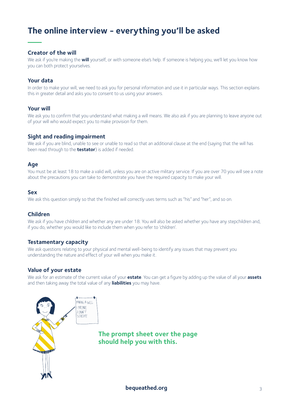# **The online interview - everything you'll be asked**

#### **Creator of the will**

We ask if you're making the **will** yourself, or with someone else's help. If someone is helping you, we'll let you know how you can both protect yourselves.

#### **Your data**

In order to make your will, we need to ask you for personal information and use it in particular ways. This section explains this in greater detail and asks you to consent to us using your answers.

#### **Your will**

We ask you to confirm that you understand what making a will means. We also ask if you are planning to leave anyone out of your will who would expect you to make provision for them.

#### **Sight and reading impairment**

We ask if you are blind, unable to see or unable to read so that an additional clause at the end (saying that the will has been read through to the **testator**) is added if needed.

#### **Age**

You must be at least 18 to make a valid will, unless you are on active military service. If you are over 70 you will see a note about the precautions you can take to demonstrate you have the required capacity to make your will.

#### **Sex**

We ask this question simply so that the finished will correctly uses terms such as "his" and "her", and so on.

#### **Children**

We ask if you have children and whether any are under 18. You will also be asked whether you have any stepchildren and, if you do, whether you would like to include them when you refer to 'children'.

#### **Testamentary capacity**

We ask questions relating to your physical and mental well-being to identify any issues that may prevent you understanding the nature and effect of your will when you make it.

#### **Value of your estate**

We ask for an estimate of the current value of your **estate**. You can get a figure by adding up the value of all your **assets**  and then taking away the total value of any **liabilities** you may have.



**bequeathed.org** 3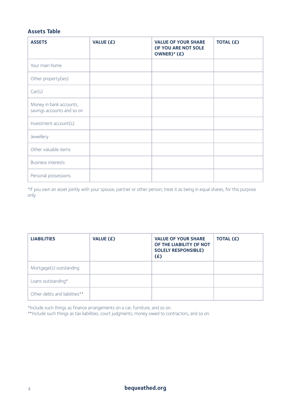#### **Assets Table**

| <b>ASSETS</b>                                         | VALUE (£) | <b>VALUE OF YOUR SHARE</b><br>(IF YOU ARE NOT SOLE<br>OWNER)* (£) | <b>TOTAL (£)</b> |
|-------------------------------------------------------|-----------|-------------------------------------------------------------------|------------------|
| Your main home                                        |           |                                                                   |                  |
| Other property(ies)                                   |           |                                                                   |                  |
| Car(s)                                                |           |                                                                   |                  |
| Money in bank accounts,<br>savings accounts and so on |           |                                                                   |                  |
| Investment account(s)                                 |           |                                                                   |                  |
| Jewellery                                             |           |                                                                   |                  |
| Other valuable items                                  |           |                                                                   |                  |
| <b>Business interests</b>                             |           |                                                                   |                  |
| Personal possessions                                  |           |                                                                   |                  |

\*If you own an asset jointly with your spouse, partner or other person, treat it as being in equal shares, for this purpose only.

| <b>LIABILITIES</b>            | <b>VALUE (£)</b> | <b>VALUE OF YOUR SHARE</b><br>OF THE LIABILITY (IF NOT<br><b>SOLELY RESPONSIBLE)</b><br>(£) | TOTAL (£) |
|-------------------------------|------------------|---------------------------------------------------------------------------------------------|-----------|
| Mortgage(s) outstanding       |                  |                                                                                             |           |
| Loans outstanding*            |                  |                                                                                             |           |
| Other debts and liabilities** |                  |                                                                                             |           |

\*Include such things as finance arrangements on a car, furniture, and so on.

\*\*Include such things as tax liabilities, court judgments, money owed to contractors, and so on.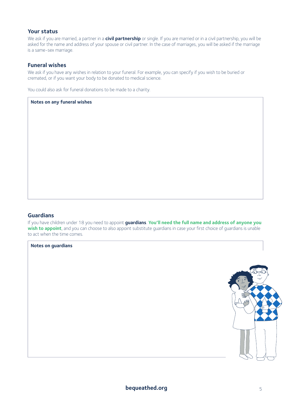#### **Your status**

We ask if you are married, a partner in a **civil partnership** or single. If you are married or in a civil partnership, you will be asked for the name and address of your spouse or civil partner. In the case of marriages, you will be asked if the marriage is a same-sex marriage.

#### **Funeral wishes**

We ask if you have any wishes in relation to your funeral. For example, you can specify if you wish to be buried or cremated, or if you want your body to be donated to medical science.

You could also ask for funeral donations to be made to a charity.

#### **Notes on any funeral wishes**

#### **Guardians**

If you have children under 18 you need to appoint **guardians**. **You'll need the full name and address of anyone you**  wish to appoint, and you can choose to also appoint substitute quardians in case your first choice of quardians is unable to act when the time comes.

| Notes on guardians |                                                            |
|--------------------|------------------------------------------------------------|
|                    | o.<br>ىلە<br>$\epsilon$ $\epsilon$<br>⋍<br><b>SW</b><br>Л. |
|                    |                                                            |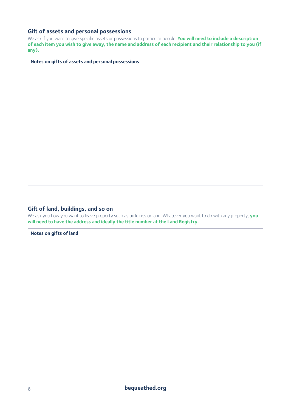#### **Gift of assets and personal possessions**

We ask if you want to give specific assets or possessions to particular people. **You will need to include a description of each item you wish to give away, the name and address of each recipient and their relationship to you (if any).**

**Notes on gifts of assets and personal possessions**

#### **Gift of land, buildings, and so on**

We ask you how you want to leave property such as buildings or land. Whatever you want to do with any property, **you will need to have the address and ideally the title number at the Land Registry.**

**Notes on gifts of land**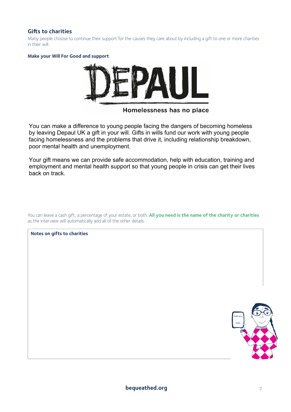#### **Gifts to charities**

Many people choose to continue their support for the causes they care about by including a gift to one or more charities in their will.

#### **Make your Will For Good and support**



Homelessness has no place

You can make a difference to young people facing the dangers of becoming homeless by leaving Depaul UK a gift in your will. Gifts in wills fund our work with young people facing homelessness and the problems that drive it, including relationship breakdown, poor mental health and unemployment.

Your gift means we can provide safe accommodation, help with education, training and employment and mental health support so that young people in crisis can get their lives back on track.

You can leave a cash gift, a percentage of your estate, or both. **All you need is the name of the charity or charities** as the interview will automatically add all of the other details.

| Notes on gifts to charities       |                 |
|-----------------------------------|-----------------|
|                                   |                 |
|                                   |                 |
|                                   |                 |
|                                   |                 |
|                                   |                 |
|                                   |                 |
| $\overline{\bullet}$<br>YOUR WILL | $\hat{\bullet}$ |
| S16W<br>7771WWW                   |                 |
|                                   |                 |
|                                   |                 |
|                                   |                 |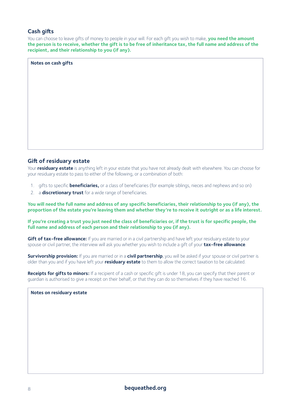#### **Cash gifts**

You can choose to leave gifts of money to people in your will. For each gift you wish to make, **you need the amount the person is to receive, whether the gift is to be free of inheritance tax, the full name and address of the recipient, and their relationship to you (if any).**

| Notes on cash gifts |  |
|---------------------|--|
|                     |  |
|                     |  |
|                     |  |
|                     |  |
|                     |  |
|                     |  |
|                     |  |
|                     |  |

#### **Gift of residuary estate**

Your **residuary estate** is anything left in your estate that you have not already dealt with elsewhere. You can choose for your residuary estate to pass to either of the following, or a combination of both:

- 1. gifts to specific **beneficiaries,** or a class of beneficiaries (for example siblings, nieces and nephews and so on)
- 2. a **discretionary trust** for a wide range of beneficiaries.

**You will need the full name and address of any specific beneficiaries, their relationship to you (if any), the proportion of the estate you're leaving them and whether they're to receive it outright or as a life interest.**

**If you're creating a trust you just need the class of beneficiaries or, if the trust is for specific people, the full name and address of each person and their relationship to you (if any).**

**Gift of tax-free allowance:** If you are married or in a civil partnership and have left your residuary estate to your spouse or civil partner, the interview will ask you whether you wish to include a gift of your **tax-free allowance**.

**Survivorship provision:** If you are married or in a **civil partnership**, you will be asked if your spouse or civil partner is older than you and if you have left your **residuary estate** to them to allow the correct taxation to be calculated.

**Receipts for gifts to minors:** If a recipient of a cash or specific gift is under 18, you can specify that their parent or guardian is authorised to give a receipt on their behalf, or that they can do so themselves if they have reached 16.

| Notes on residuary estate |
|---------------------------|
|                           |
|                           |
|                           |
|                           |
|                           |
|                           |
|                           |
|                           |
|                           |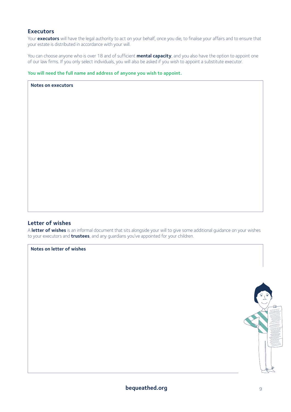#### **Executors**

Your **executors** will have the legal authority to act on your behalf, once you die, to finalise your affairs and to ensure that your estate is distributed in accordance with your will.

You can choose anyone who is over 18 and of sufficient **mental capacity**, and you also have the option to appoint one of our law firms. If you only select individuals, you will also be asked if you wish to appoint a substitute executor.

#### **You will need the full name and address of anyone you wish to appoint.**

| <b>Notes on executors</b> |  |  |
|---------------------------|--|--|
|                           |  |  |
|                           |  |  |
|                           |  |  |
|                           |  |  |
|                           |  |  |
|                           |  |  |
|                           |  |  |
|                           |  |  |
|                           |  |  |
|                           |  |  |
|                           |  |  |
|                           |  |  |
|                           |  |  |
| Letter of wishes          |  |  |

A **letter of wishes** is an informal document that sits alongside your will to give some additional guidance on your wishes to your executors and **trustees**, and any guardians you've appointed for your children.

**Notes on letter of wishes**

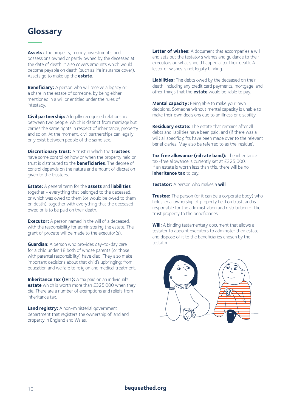## **Glossary**

**Assets:** The property, money, investments, and possessions owned or partly owned by the deceased at the date of death. It also covers amounts which would become payable on death (such as life insurance cover). Assets go to make up the **estate**.

**Beneficiary:** A person who will receive a legacy or a share in the estate of someone, by being either mentioned in a will or entitled under the rules of intestacy.

**Civil partnership:** A legally recognised relationship between two people, which is distinct from marriage but carries the same rights in respect of inheritance, property and so on. At the moment, civil partnerships can legally only exist between people of the same sex.

**Discretionary trust:** A trust in which the **trustees** have some control on how or when the property held on trust is distributed to the **beneficiaries**. The degree of control depends on the nature and amount of discretion given to the trustees.

**Estate:** A general term for the **assets** and **liabilities**  together - everything that belonged to the deceased, or which was owed to them (or would be owed to them on death), together with everything that the deceased owed or is to be paid on their death.

**Executor:** A person named in the will of a deceased, with the responsibility for administering the estate. The grant of probate will be made to the executor(s).

**Guardian:** A person who provides day-to-day care for a child under 18 both of whose parents (or those with parental responsibility) have died. They also make important decisions about that child's upbringing; from education and welfare to religion and medical treatment.

**Inheritance Tax (IHT):** A tax paid on an individual's **estate** which is worth more than £325,000 when they die. There are a number of exemptions and reliefs from inheritance tax.

**Land registry:** A non-ministerial government department that registers the ownership of land and property in England and Wales.

**Letter of wishes:** A document that accompanies a will and sets out the testator's wishes and guidance to their executors on what should happen after their death. A letter of wishes is not legally binding.

**Liabilities:** The debts owed by the deceased on their death, including any credit card payments, mortgage, and other things that the **estate** would be liable to pay.

**Mental capacity:** Being able to make your own decisions. Someone without mental capacity is unable to make their own decisions due to an illness or disability.

**Residuary estate:** The estate that remains after all debts and liabilities have been paid, and (if there was a will) all specific gifts have been made over to the relevant beneficiaries. May also be referred to as the 'residue'.

**Tax free allowance (nil rate band):** The inheritance tax-free allowance is currently set at £325,000. If an estate is worth less than this, there will be no **inheritance tax** to pay.

**Testator:** A person who makes a **will**.

**Trustee:** The person (or it can be a corporate body) who holds legal ownership of property held on trust, and is responsible for the administration and distribution of the trust property to the beneficiaries.

**Will:** A binding testamentary document that allows a testator to appoint executors to administer their estate and dispose of it to the beneficiaries chosen by the testator.

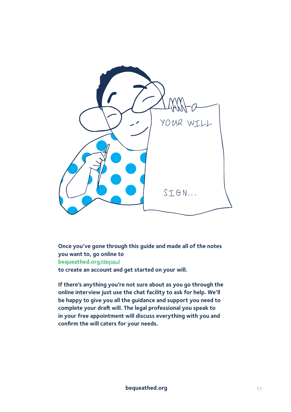

**Once you've gone through this guide and made all of the notes you want to, go online to bequeathed.org/ depaul to create an account and get started on your will.**

**If there's anything you're not sure about as you go through the online interview just use the chat facility to ask for help. We'll be happy to give you all the guidance and support you need to complete your draft will. The legal professional you speak to in your free appointment will discuss everything with you and confirm the will caters for your needs.**